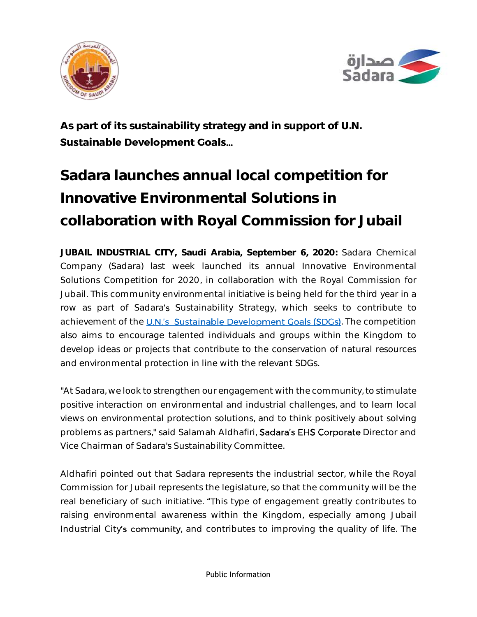



**As part of its sustainability strategy and in support of U.N. Sustainable Development Goals...** 

# **Sadara launches annual local competition for Innovative Environmental Solutions in collaboration with Royal Commission for Jubail**

**JUBAIL INDUSTRIAL CITY, Saudi Arabia, September 6, 2020:** Sadara Chemical Company (Sadara) last week launched its annual Innovative Environmental Solutions Competition for 2020, in collaboration with the Royal Commission for Jubail. This community environmental initiative is being held for the third year in a row as part of Sadara's Sustainability Strategy, which seeks to contribute to achievement of the U.N.'s Sustainable Development Goals (SDGs). The competition also aims to encourage talented individuals and groups within the Kingdom to develop ideas or projects that contribute to the conservation of natural resources and environmental protection in line with the relevant SDGs.

"At Sadara, we look to strengthen our engagement with the community, to stimulate positive interaction on environmental and industrial challenges, and to learn local views on environmental protection solutions, and to think positively about solving problems as partners," said Salamah Aldhafiri, Sadara's EHS Corporate Director and Vice Chairman of Sadara's Sustainability Committee.

Aldhafiri pointed out that Sadara represents the industrial sector, while the Royal Commission for Jubail represents the legislature, so that the community will be the real beneficiary of such initiative. "This type of engagement greatly contributes to raising environmental awareness within the Kingdom, especially among Jubail Industrial City's community, and contributes to improving the quality of life. The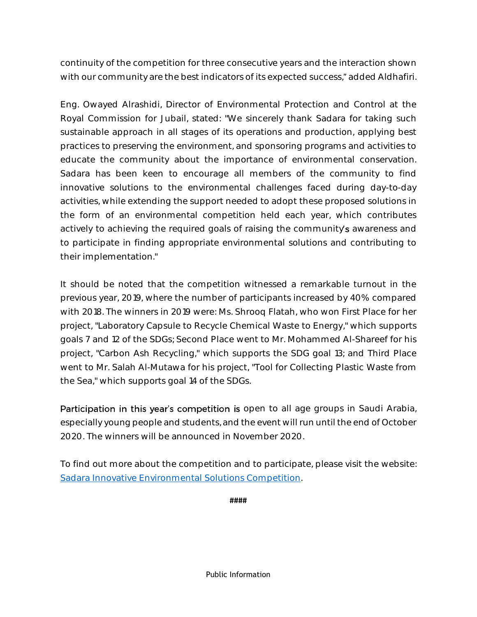continuity of the competition for three consecutive years and the interaction shown with our community are the best indicators of its expected success," added Aldhafiri.

Eng. Owayed Alrashidi, Director of Environmental Protection and Control at the Royal Commission for Jubail, stated: "We sincerely thank Sadara for taking such sustainable approach in all stages of its operations and production, applying best practices to preserving the environment, and sponsoring programs and activities to educate the community about the importance of environmental conservation. Sadara has been keen to encourage all members of the community to find innovative solutions to the environmental challenges faced during day-to-day activities, while extending the support needed to adopt these proposed solutions in the form of an environmental competition held each year, which contributes actively to achieving the required goals of raising the community's awareness and to participate in finding appropriate environmental solutions and contributing to their implementation."

It should be noted that the competition witnessed a remarkable turnout in the previous year, 2019, where the number of participants increased by 40% compared with 2018. The winners in 2019 were: Ms. Shrooq Flatah, who won First Place for her project, "Laboratory Capsule to Recycle Chemical Waste to Energy," which supports goals 7 and 12 of the SDGs; Second Place went to Mr. Mohammed Al-Shareef for his project, "Carbon Ash Recycling," which supports the SDG goal 13; and Third Place went to Mr. Salah Al-Mutawa for his project, "Tool for Collecting Plastic Waste from the Sea," which supports goal 14 of the SDGs.

Participation in this year's competition is open to all age groups in Saudi Arabia, especially young people and students, and the event will run until the end of October 2020. The winners will be announced in November 2020.

To find out more about the competition and to participate, please visit the website: [Sadara Innovative Environmental Solutions Competition.](https://sadara.com/iescompetition/en/index.html)

**####**